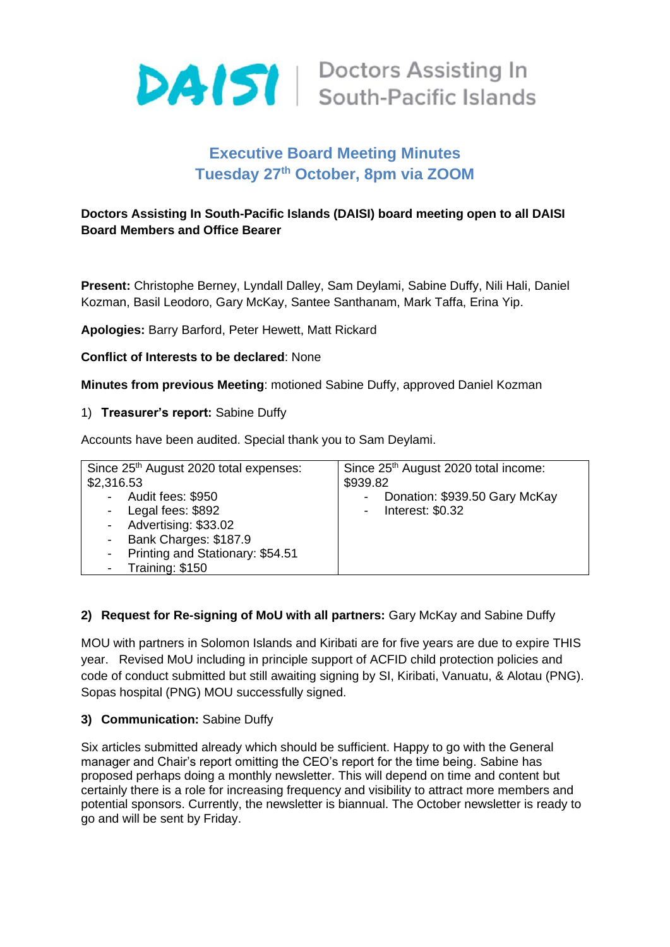

# **Executive Board Meeting Minutes Tuesday 27th October, 8pm via ZOOM**

## **Doctors Assisting In South-Pacific Islands (DAISI) board meeting open to all DAISI Board Members and Office Bearer**

**Present:** Christophe Berney, Lyndall Dalley, Sam Deylami, Sabine Duffy, Nili Hali, Daniel Kozman, Basil Leodoro, Gary McKay, Santee Santhanam, Mark Taffa, Erina Yip.

**Apologies:** Barry Barford, Peter Hewett, Matt Rickard

#### **Conflict of Interests to be declared**: None

**Minutes from previous Meeting**: motioned Sabine Duffy, approved Daniel Kozman

#### 1) **Treasurer's report:** Sabine Duffy

Accounts have been audited. Special thank you to Sam Deylami.

| Since 25 <sup>th</sup> August 2020 total expenses: | Since 25 <sup>th</sup> August 2020 total income: |
|----------------------------------------------------|--------------------------------------------------|
| \$2,316.53                                         | \$939.82                                         |
| - Audit fees: \$950                                | Donation: \$939.50 Gary McKay                    |
| - Legal fees: \$892                                | - Interest: $$0.32$                              |
| - Advertising: \$33.02                             |                                                  |
| - Bank Charges: \$187.9                            |                                                  |
| - Printing and Stationary: \$54.51                 |                                                  |
| - Training: \$150                                  |                                                  |

## **2) Request for Re-signing of MoU with all partners:** Gary McKay and Sabine Duffy

MOU with partners in Solomon Islands and Kiribati are for five years are due to expire THIS year. Revised MoU including in principle support of ACFID child protection policies and code of conduct submitted but still awaiting signing by SI, Kiribati, Vanuatu, & Alotau (PNG). Sopas hospital (PNG) MOU successfully signed.

#### **3) Communication:** Sabine Duffy

Six articles submitted already which should be sufficient. Happy to go with the General manager and Chair's report omitting the CEO's report for the time being. Sabine has proposed perhaps doing a monthly newsletter. This will depend on time and content but certainly there is a role for increasing frequency and visibility to attract more members and potential sponsors. Currently, the newsletter is biannual. The October newsletter is ready to go and will be sent by Friday.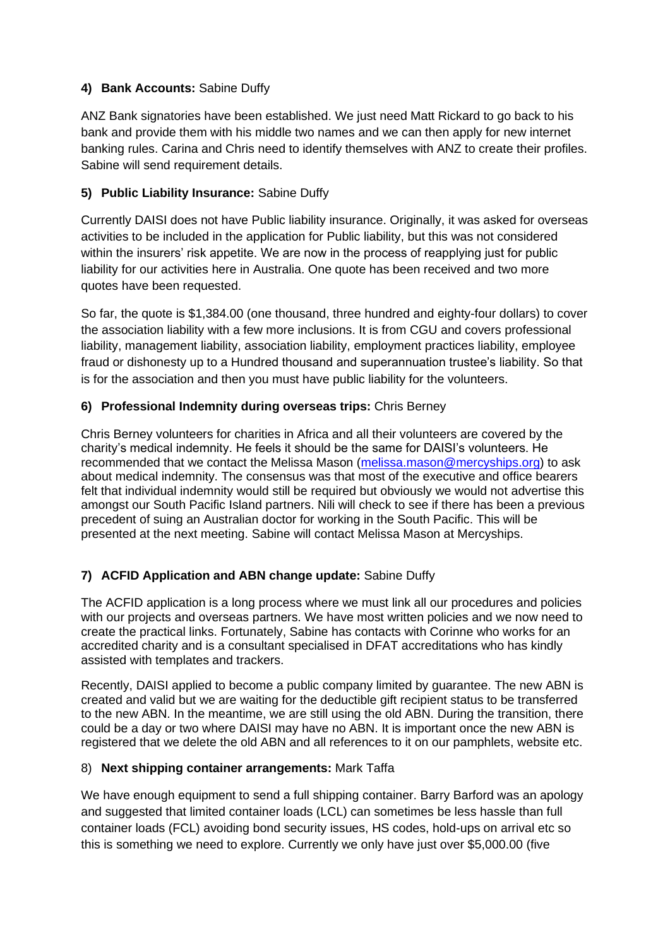## **4) Bank Accounts:** Sabine Duffy

ANZ Bank signatories have been established. We just need Matt Rickard to go back to his bank and provide them with his middle two names and we can then apply for new internet banking rules. Carina and Chris need to identify themselves with ANZ to create their profiles. Sabine will send requirement details.

## **5) Public Liability Insurance:** Sabine Duffy

Currently DAISI does not have Public liability insurance. Originally, it was asked for overseas activities to be included in the application for Public liability, but this was not considered within the insurers' risk appetite. We are now in the process of reapplying just for public liability for our activities here in Australia. One quote has been received and two more quotes have been requested.

So far, the quote is \$1,384.00 (one thousand, three hundred and eighty-four dollars) to cover the association liability with a few more inclusions. It is from CGU and covers professional liability, management liability, association liability, employment practices liability, employee fraud or dishonesty up to a Hundred thousand and superannuation trustee's liability. So that is for the association and then you must have public liability for the volunteers.

## **6) Professional Indemnity during overseas trips:** Chris Berney

Chris Berney volunteers for charities in Africa and all their volunteers are covered by the charity's medical indemnity. He feels it should be the same for DAISI's volunteers. He recommended that we contact the Melissa Mason (melissa.mason@mercyships.org) to ask about medical indemnity. The consensus was that most of the executive and office bearers felt that individual indemnity would still be required but obviously we would not advertise this amongst our South Pacific Island partners. Nili will check to see if there has been a previous precedent of suing an Australian doctor for working in the South Pacific. This will be presented at the next meeting. Sabine will contact Melissa Mason at Mercyships.

## **7) ACFID Application and ABN change update:** Sabine Duffy

The ACFID application is a long process where we must link all our procedures and policies with our projects and overseas partners. We have most written policies and we now need to create the practical links. Fortunately, Sabine has contacts with Corinne who works for an accredited charity and is a consultant specialised in DFAT accreditations who has kindly assisted with templates and trackers.

Recently, DAISI applied to become a public company limited by guarantee. The new ABN is created and valid but we are waiting for the deductible gift recipient status to be transferred to the new ABN. In the meantime, we are still using the old ABN. During the transition, there could be a day or two where DAISI may have no ABN. It is important once the new ABN is registered that we delete the old ABN and all references to it on our pamphlets, website etc.

## 8) **Next shipping container arrangements:** Mark Taffa

We have enough equipment to send a full shipping container. Barry Barford was an apology and suggested that limited container loads (LCL) can sometimes be less hassle than full container loads (FCL) avoiding bond security issues, HS codes, hold-ups on arrival etc so this is something we need to explore. Currently we only have just over \$5,000.00 (five